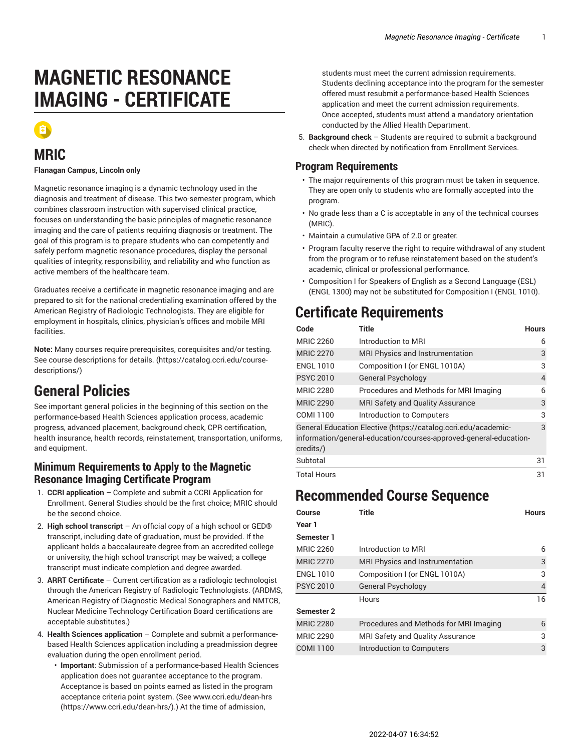# **MAGNETIC RESONANCE IMAGING - CERTIFICATE**



### **MRIC**

#### **Flanagan Campus, Lincoln only**

Magnetic resonance imaging is a dynamic technology used in the diagnosis and treatment of disease. This two-semester program, which combines classroom instruction with supervised clinical practice, focuses on understanding the basic principles of magnetic resonance imaging and the care of patients requiring diagnosis or treatment. The goal of this program is to prepare students who can competently and safely perform magnetic resonance procedures, display the personal qualities of integrity, responsibility, and reliability and who function as active members of the healthcare team.

Graduates receive a certificate in magnetic resonance imaging and are prepared to sit for the national credentialing examination offered by the American Registry of Radiologic Technologists. They are eligible for employment in hospitals, clinics, physician's offices and mobile MRI facilities.

**Note:** Many courses require prerequisites, corequisites and/or testing. [See course descriptions for details. \(https://catalog.ccri.edu/course](https://catalog.ccri.edu/course-descriptions/)[descriptions/\)](https://catalog.ccri.edu/course-descriptions/)

## **General Policies**

See important general policies in the beginning of this section on the performance-based Health Sciences application process, academic progress, advanced placement, background check, CPR certification, health insurance, health records, reinstatement, transportation, uniforms, and equipment.

### **Minimum Requirements to Apply to the Magnetic Resonance Imaging Certificate Program**

- 1. **CCRI application** Complete and submit a CCRI Application for Enrollment. General Studies should be the first choice; MRIC should be the second choice.
- 2. **High school transcript** An official copy of a high school or GED® transcript, including date of graduation, must be provided. If the applicant holds a baccalaureate degree from an accredited college or university, the high school transcript may be waived; a college transcript must indicate completion and degree awarded.
- 3. **ARRT Certificate** Current certification as a radiologic technologist through the American Registry of Radiologic Technologists. (ARDMS, American Registry of Diagnostic Medical Sonographers and NMTCB, Nuclear Medicine Technology Certification Board certifications are acceptable substitutes.)
- 4. **Health Sciences application** Complete and submit a performancebased Health Sciences application including a preadmission degree evaluation during the open enrollment period.
	- **Important**: Submission of a performance-based Health Sciences application does not guarantee acceptance to the program. Acceptance is based on points earned as listed in the program acceptance criteria point system. (See [www.ccri.edu/dean-hrs](https://www.ccri.edu/dean-hrs/) ([https://www.ccri.edu/dean-hrs/\)](https://www.ccri.edu/dean-hrs/).) At the time of admission,

students must meet the current admission requirements. Students declining acceptance into the program for the semester offered must resubmit a performance-based Health Sciences application and meet the current admission requirements. Once accepted, students must attend a mandatory orientation conducted by the Allied Health Department.

5. **Background check** – Students are required to submit a background check when directed by notification from Enrollment Services.

### **Program Requirements**

- The major requirements of this program must be taken in sequence. They are open only to students who are formally accepted into the program.
- No grade less than a C is acceptable in any of the technical courses (MRIC).
- Maintain a cumulative GPA of 2.0 or greater.
- Program faculty reserve the right to require withdrawal of any student from the program or to refuse reinstatement based on the student's academic, clinical or professional performance.
- Composition I for Speakers of English as a Second Language (ESL) (ENGL 1300) may not be substituted for Composition I (ENGL 1010).

# **Certificate Requirements**

| Code                                                                                                                                             | Title                                  | <b>Hours</b> |
|--------------------------------------------------------------------------------------------------------------------------------------------------|----------------------------------------|--------------|
| <b>MRIC 2260</b>                                                                                                                                 | Introduction to MRI                    | 6            |
| <b>MRIC 2270</b>                                                                                                                                 | MRI Physics and Instrumentation        | 3            |
| <b>ENGL 1010</b>                                                                                                                                 | Composition I (or ENGL 1010A)          | 3            |
| <b>PSYC 2010</b>                                                                                                                                 | <b>General Psychology</b>              | 4            |
| <b>MRIC 2280</b>                                                                                                                                 | Procedures and Methods for MRI Imaging | 6            |
| <b>MRIC 2290</b>                                                                                                                                 | MRI Safety and Quality Assurance       | 3            |
| COMI 1100                                                                                                                                        | Introduction to Computers              | 3            |
| General Education Elective (https://catalog.ccri.edu/academic-<br>information/general-education/courses-approved-general-education-<br>credits/) |                                        |              |
| Subtotal                                                                                                                                         |                                        | 31           |

Total Hours 31

## **Recommended Course Sequence**

| Course            | Title                                  | <b>Hours</b>   |
|-------------------|----------------------------------------|----------------|
| Year 1            |                                        |                |
| Semester 1        |                                        |                |
| <b>MRIC 2260</b>  | Introduction to MRI                    | 6              |
| <b>MRIC 2270</b>  | MRI Physics and Instrumentation        | 3              |
| <b>ENGL 1010</b>  | Composition I (or ENGL 1010A)          | 3              |
| <b>PSYC 2010</b>  | General Psychology                     | $\overline{4}$ |
|                   | Hours                                  | 16             |
| <b>Semester 2</b> |                                        |                |
| <b>MRIC 2280</b>  | Procedures and Methods for MRI Imaging | 6              |
| <b>MRIC 2290</b>  | MRI Safety and Quality Assurance       | 3              |
| COMI 1100         | Introduction to Computers              | 3              |